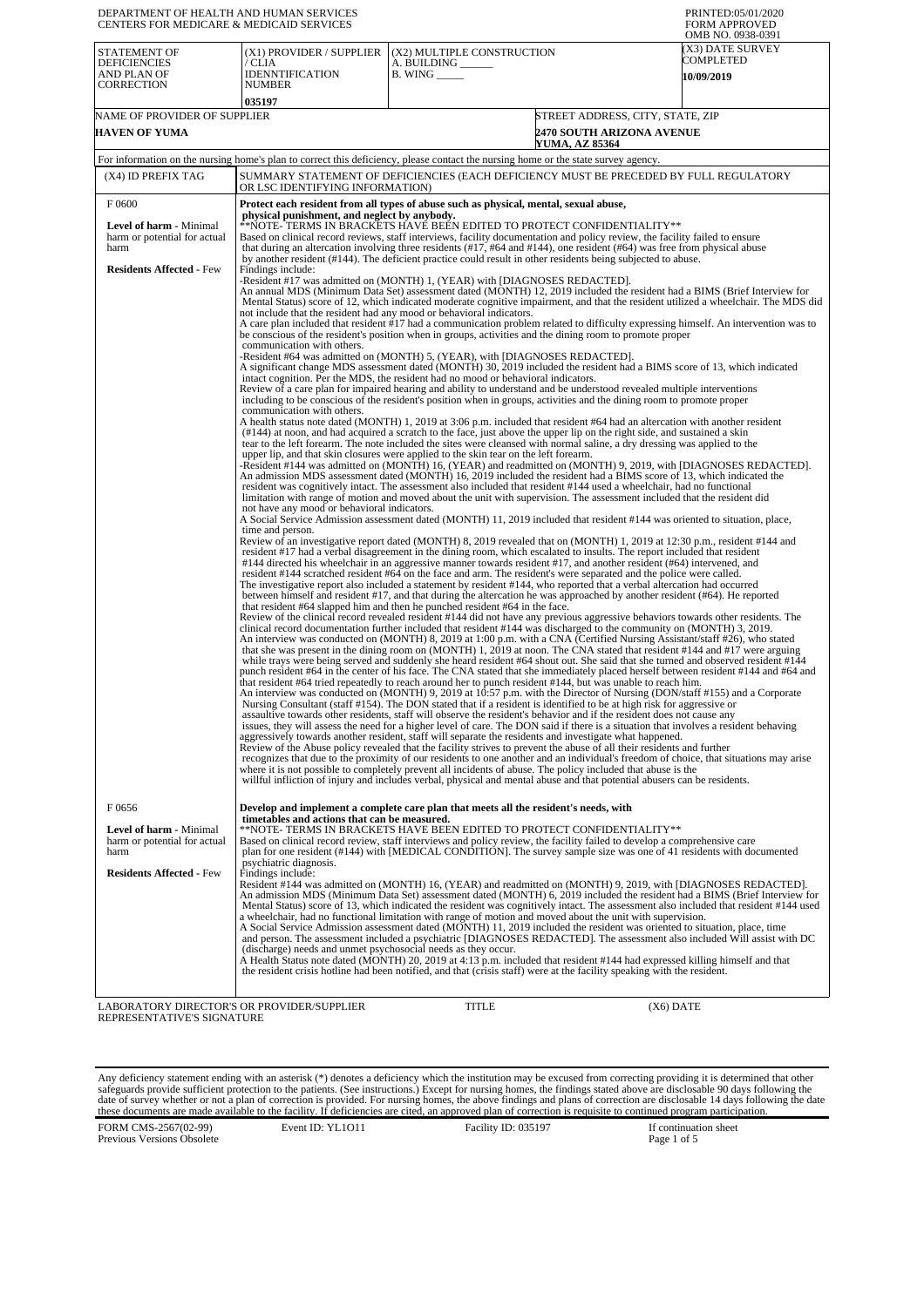| DEPARTMENT OF HEALTH AND HUMAN SERVICES<br>CENTERS FOR MEDICARE & MEDICAID SERVICES                          |                                                                                                                                                                                                                                                                          |                                                                                                                                                                                                                                                                                                                                                                                                                                                                                                                                                                                                                                                                                                                                                                                                                                                                                                                                                                                                                                                                                                                                                                                                                                                                                                                                                                                                                                                                                                                                                                                                                                                                                                                                                                                                                                                                                                                                                                                                                                                                                                                                                                                                                                                                                                                                                                                                                                                                                                                                                                                                                                                                                                                                                                                                                                                                                                                                                                                                                                                                                                                                                                                                                                                                                                                                                                                                                                                                                                                                                                                                                                                                                                                                                                                                                                                                                                                                                                                                                                                                                                                                                                                                                                                                                                                                                                                                                                                                                                                                                                                                                                                                                                                                                                                                                                                                                                                                                                                                                                                                                                                                                                                                                                                                                                                                                                                                                                                                                                                                                                                                                            | PRINTED:05/01/2020<br><b>FORM APPROVED</b><br>OMB NO. 0938-0391      |
|--------------------------------------------------------------------------------------------------------------|--------------------------------------------------------------------------------------------------------------------------------------------------------------------------------------------------------------------------------------------------------------------------|----------------------------------------------------------------------------------------------------------------------------------------------------------------------------------------------------------------------------------------------------------------------------------------------------------------------------------------------------------------------------------------------------------------------------------------------------------------------------------------------------------------------------------------------------------------------------------------------------------------------------------------------------------------------------------------------------------------------------------------------------------------------------------------------------------------------------------------------------------------------------------------------------------------------------------------------------------------------------------------------------------------------------------------------------------------------------------------------------------------------------------------------------------------------------------------------------------------------------------------------------------------------------------------------------------------------------------------------------------------------------------------------------------------------------------------------------------------------------------------------------------------------------------------------------------------------------------------------------------------------------------------------------------------------------------------------------------------------------------------------------------------------------------------------------------------------------------------------------------------------------------------------------------------------------------------------------------------------------------------------------------------------------------------------------------------------------------------------------------------------------------------------------------------------------------------------------------------------------------------------------------------------------------------------------------------------------------------------------------------------------------------------------------------------------------------------------------------------------------------------------------------------------------------------------------------------------------------------------------------------------------------------------------------------------------------------------------------------------------------------------------------------------------------------------------------------------------------------------------------------------------------------------------------------------------------------------------------------------------------------------------------------------------------------------------------------------------------------------------------------------------------------------------------------------------------------------------------------------------------------------------------------------------------------------------------------------------------------------------------------------------------------------------------------------------------------------------------------------------------------------------------------------------------------------------------------------------------------------------------------------------------------------------------------------------------------------------------------------------------------------------------------------------------------------------------------------------------------------------------------------------------------------------------------------------------------------------------------------------------------------------------------------------------------------------------------------------------------------------------------------------------------------------------------------------------------------------------------------------------------------------------------------------------------------------------------------------------------------------------------------------------------------------------------------------------------------------------------------------------------------------------------------------------------------------------------------------------------------------------------------------------------------------------------------------------------------------------------------------------------------------------------------------------------------------------------------------------------------------------------------------------------------------------------------------------------------------------------------------------------------------------------------------------------------------------------------------------------------------------------------------------------------------------------------------------------------------------------------------------------------------------------------------------------------------------------------------------------------------------------------------------------------------------------------------------------------------------------------------------------------------------------------------------------------------------------------------------------------------------------------|----------------------------------------------------------------------|
| STATEMENT OF<br><b>DEFICIENCIES</b><br>AND PLAN OF<br>CORRECTION                                             | (X1) PROVIDER / SUPPLIER<br>/ CLIA<br><b>IDENNTIFICATION</b><br><b>NUMBER</b><br>035197                                                                                                                                                                                  | (X2) MULTIPLE CONSTRUCTION<br>A. BUILDING ______<br>$B.$ WING $\_\_\_\_\_\_\$                                                                                                                                                                                                                                                                                                                                                                                                                                                                                                                                                                                                                                                                                                                                                                                                                                                                                                                                                                                                                                                                                                                                                                                                                                                                                                                                                                                                                                                                                                                                                                                                                                                                                                                                                                                                                                                                                                                                                                                                                                                                                                                                                                                                                                                                                                                                                                                                                                                                                                                                                                                                                                                                                                                                                                                                                                                                                                                                                                                                                                                                                                                                                                                                                                                                                                                                                                                                                                                                                                                                                                                                                                                                                                                                                                                                                                                                                                                                                                                                                                                                                                                                                                                                                                                                                                                                                                                                                                                                                                                                                                                                                                                                                                                                                                                                                                                                                                                                                                                                                                                                                                                                                                                                                                                                                                                                                                                                                                                                                                                                              | (X3) DATE SURVEY<br>COMPLETED<br>10/09/2019                          |
| NAME OF PROVIDER OF SUPPLIER<br>HAVEN OF YUMA                                                                |                                                                                                                                                                                                                                                                          | YUMA, AZ 85364                                                                                                                                                                                                                                                                                                                                                                                                                                                                                                                                                                                                                                                                                                                                                                                                                                                                                                                                                                                                                                                                                                                                                                                                                                                                                                                                                                                                                                                                                                                                                                                                                                                                                                                                                                                                                                                                                                                                                                                                                                                                                                                                                                                                                                                                                                                                                                                                                                                                                                                                                                                                                                                                                                                                                                                                                                                                                                                                                                                                                                                                                                                                                                                                                                                                                                                                                                                                                                                                                                                                                                                                                                                                                                                                                                                                                                                                                                                                                                                                                                                                                                                                                                                                                                                                                                                                                                                                                                                                                                                                                                                                                                                                                                                                                                                                                                                                                                                                                                                                                                                                                                                                                                                                                                                                                                                                                                                                                                                                                                                                                                                                             | STREET ADDRESS, CITY, STATE, ZIP<br><b>2470 SOUTH ARIZONA AVENUE</b> |
|                                                                                                              |                                                                                                                                                                                                                                                                          | For information on the nursing home's plan to correct this deficiency, please contact the nursing home or the state survey agency.                                                                                                                                                                                                                                                                                                                                                                                                                                                                                                                                                                                                                                                                                                                                                                                                                                                                                                                                                                                                                                                                                                                                                                                                                                                                                                                                                                                                                                                                                                                                                                                                                                                                                                                                                                                                                                                                                                                                                                                                                                                                                                                                                                                                                                                                                                                                                                                                                                                                                                                                                                                                                                                                                                                                                                                                                                                                                                                                                                                                                                                                                                                                                                                                                                                                                                                                                                                                                                                                                                                                                                                                                                                                                                                                                                                                                                                                                                                                                                                                                                                                                                                                                                                                                                                                                                                                                                                                                                                                                                                                                                                                                                                                                                                                                                                                                                                                                                                                                                                                                                                                                                                                                                                                                                                                                                                                                                                                                                                                                         |                                                                      |
| (X4) ID PREFIX TAG                                                                                           | OR LSC IDENTIFYING INFORMATION)                                                                                                                                                                                                                                          | SUMMARY STATEMENT OF DEFICIENCIES (EACH DEFICIENCY MUST BE PRECEDED BY FULL REGULATORY                                                                                                                                                                                                                                                                                                                                                                                                                                                                                                                                                                                                                                                                                                                                                                                                                                                                                                                                                                                                                                                                                                                                                                                                                                                                                                                                                                                                                                                                                                                                                                                                                                                                                                                                                                                                                                                                                                                                                                                                                                                                                                                                                                                                                                                                                                                                                                                                                                                                                                                                                                                                                                                                                                                                                                                                                                                                                                                                                                                                                                                                                                                                                                                                                                                                                                                                                                                                                                                                                                                                                                                                                                                                                                                                                                                                                                                                                                                                                                                                                                                                                                                                                                                                                                                                                                                                                                                                                                                                                                                                                                                                                                                                                                                                                                                                                                                                                                                                                                                                                                                                                                                                                                                                                                                                                                                                                                                                                                                                                                                                     |                                                                      |
| F 0600<br>Level of harm - Minimal<br>harm or potential for actual<br>harm<br><b>Residents Affected - Few</b> | physical punishment, and neglect by anybody.<br>Findings include:<br>not include that the resident had any mood or behavioral indicators.<br>communication with others.<br>communication with others.<br>not have any mood or behavioral indicators.<br>time and person. | Protect each resident from all types of abuse such as physical, mental, sexual abuse,<br>**NOTE- TERMS IN BRACKETS HAVE BEEN EDITED TO PROTECT CONFIDENTIALITY**<br>Based on clinical record reviews, staff interviews, facility documentation and policy review, the facility failed to ensure<br>that during an altercation involving three residents $(\#17, \#64 \text{ and } \#144)$ , one resident $(\#64)$ was free from physical abuse<br>by another resident (#144). The deficient practice could result in other residents being subjected to abuse.<br>-Resident #17 was admitted on (MONTH) 1, (YEAR) with [DIAGNOSES REDACTED].<br>An annual MDS (Minimum Data Set) assessment dated (MONTH) 12, 2019 included the resident had a BIMS (Brief Interview for<br>Mental Status) score of 12, which indicated moderate cognitive impairment, and that the resident utilized a wheelchair. The MDS did<br>A care plan included that resident #17 had a communication problem related to difficulty expressing himself. An intervention was to<br>be conscious of the resident's position when in groups, activities and the dining room to promote proper<br>-Resident #64 was admitted on (MONTH) 5, (YEAR), with [DIAGNOSES REDACTED].<br>A significant change MDS assessment dated (MONTH) 30, 2019 included the resident had a BIMS score of 13, which indicated<br>intact cognition. Per the MDS, the resident had no mood or behavioral indicators.<br>Review of a care plan for impaired hearing and ability to understand and be understood revealed multiple interventions<br>including to be conscious of the resident's position when in groups, activities and the dining room to promote proper<br>A health status note dated (MONTH) 1, 2019 at 3:06 p.m. included that resident #64 had an altercation with another resident<br>(#144) at noon, and had acquired a scratch to the face, just above the upper lip on the right side, and sustained a skin<br>tear to the left forearm. The note included the sites were cleansed with normal saline, a dry dressing was applied to the<br>upper lip, and that skin closures were applied to the skin tear on the left forearm.<br>-Resident #144 was admitted on (MONTH) 16, (YEAR) and readmitted on (MONTH) 9, 2019, with [DIAGNOSES REDACTED].<br>An admission MDS assessment dated (MONTH) 16, 2019 included the resident had a BIMS score of 13, which indicated the<br>resident was cognitively intact. The assessment also included that resident #144 used a wheelchair, had no functional<br>limitation with range of motion and moved about the unit with supervision. The assessment included that the resident did<br>A Social Service Admission assessment dated (MONTH) 11, 2019 included that resident #144 was oriented to situation, place,<br>Review of an investigative report dated (MONTH) 8, 2019 revealed that on (MONTH) 1, 2019 at 12:30 p.m., resident #144 and<br>resident #17 had a verbal disagreement in the dining room, which escalated to insults. The report included that resident<br>#144 directed his wheelchair in an aggressive manner towards resident #17, and another resident (#64) intervened, and<br>resident #144 scratched resident #64 on the face and arm. The resident's were separated and the police were called.<br>The investigative report also included a statement by resident #144, who reported that a verbal altercation had occurred<br>between himself and resident #17, and that during the altercation he was approached by another resident (#64). He reported<br>that resident #64 slapped him and then he punched resident #64 in the face.<br>Review of the clinical record revealed resident #144 did not have any previous aggressive behaviors towards other residents. The<br>clinical record documentation further included that resident #144 was discharged to the community on (MONTH) 3, 2019.<br>An interview was conducted on (MONTH) 8, 2019 at 1:00 p.m. with a CNA (Certified Nursing Assistant/staff #26), who stated<br>that she was present in the dining room on (MONTH) 1, 2019 at noon. The CNA stated that resident #144 and #17 were arguing<br>while trays were being served and suddenly she heard resident #64 shout out. She said that she turned and observed resident #144<br>punch resident #64 in the center of his face. The CNA stated that she immediately placed herself between resident #144 and #64 and<br>that resident #64 tried repeatedly to reach around her to punch resident #144, but was unable to reach him.<br>An interview was conducted on (MONTH) 9, 2019 at 10:57 p.m. with the Director of Nursing (DON/staff #155) and a Corporate<br>Nursing Consultant (staff #154). The DON stated that if a resident is identified to be at high risk for aggressive or<br>assaultive towards other residents, staff will observe the resident's behavior and if the resident does not cause any<br>issues, they will assess the need for a higher level of care. The DON said if there is a situation that involves a resident behaving<br>aggressively towards another resident, staff will separate the residents and investigate what happened.<br>Review of the Abuse policy revealed that the facility strives to prevent the abuse of all their residents and further<br>recognizes that due to the proximity of our residents to one another and an individual's freedom of choice, that situations may arise<br>where it is not possible to completely prevent all incidents of abuse. The policy included that abuse is the |                                                                      |
| F0656<br>Level of harm - Minimal<br>harm or potential for actual                                             | timetables and actions that can be measured.                                                                                                                                                                                                                             | will ful infliction of injury and includes verbal, physical and mental abuse and that potential abusers can be residents.<br>Develop and implement a complete care plan that meets all the resident's needs, with<br>**NOTE- TERMS IN BRACKETS HAVE BEEN EDITED TO PROTECT CONFIDENTIALITY**<br>Based on clinical record review, staff interviews and policy review, the facility failed to develop a comprehensive care                                                                                                                                                                                                                                                                                                                                                                                                                                                                                                                                                                                                                                                                                                                                                                                                                                                                                                                                                                                                                                                                                                                                                                                                                                                                                                                                                                                                                                                                                                                                                                                                                                                                                                                                                                                                                                                                                                                                                                                                                                                                                                                                                                                                                                                                                                                                                                                                                                                                                                                                                                                                                                                                                                                                                                                                                                                                                                                                                                                                                                                                                                                                                                                                                                                                                                                                                                                                                                                                                                                                                                                                                                                                                                                                                                                                                                                                                                                                                                                                                                                                                                                                                                                                                                                                                                                                                                                                                                                                                                                                                                                                                                                                                                                                                                                                                                                                                                                                                                                                                                                                                                                                                                                                   |                                                                      |
| harm<br><b>Residents Affected - Few</b>                                                                      | psychiatric diagnosis.<br>Findings include:<br>(discharge) needs and unmet psychosocial needs as they occur.                                                                                                                                                             | plan for one resident (#144) with [MEDICAL CONDITION]. The survey sample size was one of 41 residents with documented<br>Resident #144 was admitted on (MONTH) 16, (YEAR) and readmitted on (MONTH) 9, 2019, with [DIAGNOSES REDACTED].<br>An admission MDS (Minimum Data Set) assessment dated (MONTH) 6, 2019 included the resident had a BIMS (Brief Interview for<br>Mental Status) score of 13, which indicated the resident was cognitively intact. The assessment also included that resident #144 used<br>a wheelchair, had no functional limitation with range of motion and moved about the unit with supervision.<br>A Social Service Admission assessment dated (MONTH) 11, 2019 included the resident was oriented to situation, place, time<br>and person. The assessment included a psychiatric [DIAGNOSES REDACTED]. The assessment also included Will assist with DC<br>A Health Status note dated (MONTH) 20, 2019 at 4:13 p.m. included that resident #144 had expressed killing himself and that<br>the resident crisis hotline had been notified, and that (crisis staff) were at the facility speaking with the resident.                                                                                                                                                                                                                                                                                                                                                                                                                                                                                                                                                                                                                                                                                                                                                                                                                                                                                                                                                                                                                                                                                                                                                                                                                                                                                                                                                                                                                                                                                                                                                                                                                                                                                                                                                                                                                                                                                                                                                                                                                                                                                                                                                                                                                                                                                                                                                                                                                                                                                                                                                                                                                                                                                                                                                                                                                                                                                                                                                                                                                                                                                                                                                                                                                                                                                                                                                                                                                                                                                                                                                                                                                                                                                                                                                                                                                                                                                                                                                                                                                                                                                                                                                                                                                                                                                                                                                                                                                                                                            |                                                                      |
| LABORATORY DIRECTOR'S OR PROVIDER/SUPPLIER<br>REPRESENTATIVE'S SIGNATURE                                     |                                                                                                                                                                                                                                                                          | <b>TITLE</b>                                                                                                                                                                                                                                                                                                                                                                                                                                                                                                                                                                                                                                                                                                                                                                                                                                                                                                                                                                                                                                                                                                                                                                                                                                                                                                                                                                                                                                                                                                                                                                                                                                                                                                                                                                                                                                                                                                                                                                                                                                                                                                                                                                                                                                                                                                                                                                                                                                                                                                                                                                                                                                                                                                                                                                                                                                                                                                                                                                                                                                                                                                                                                                                                                                                                                                                                                                                                                                                                                                                                                                                                                                                                                                                                                                                                                                                                                                                                                                                                                                                                                                                                                                                                                                                                                                                                                                                                                                                                                                                                                                                                                                                                                                                                                                                                                                                                                                                                                                                                                                                                                                                                                                                                                                                                                                                                                                                                                                                                                                                                                                                                               | $(X6)$ DATE                                                          |

Any deficiency statement ending with an asterisk (\*) denotes a deficiency which the institution may be excused from correcting providing it is determined that other safeguards provide sufficient protection to the patients.

FORM CMS-2567(02-99) Previous Versions Obsolete

Event ID: YL1O11 Facility ID: 035197 If continuation sheet<br>Page 1 of 5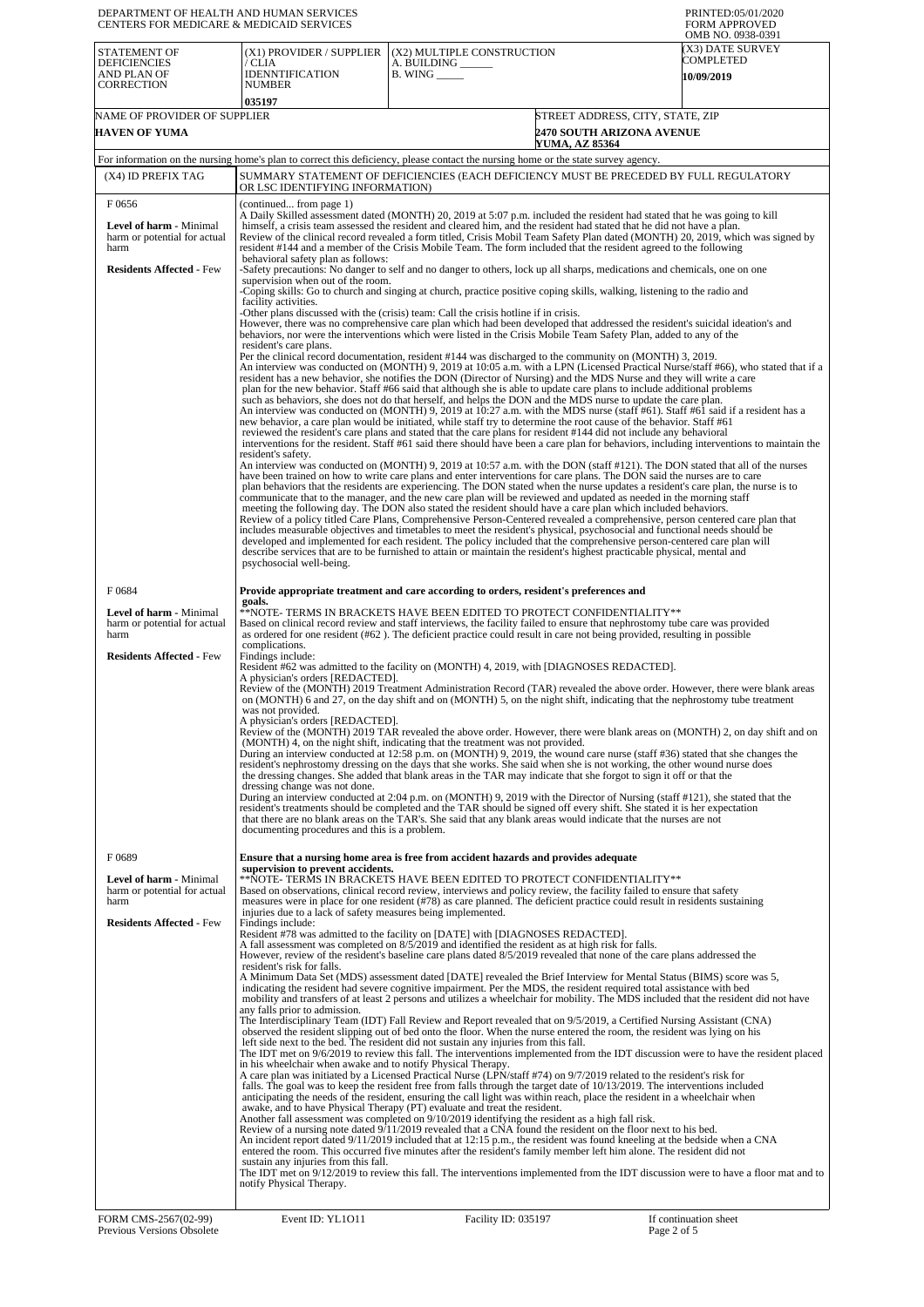| DEPARTMENT OF HEALTH AND HUMAN SERVICES<br>CENTERS FOR MEDICARE & MEDICAID SERVICES                       |                                                                                                                                                                                                                                                                                                                                                                                                                                                                                                                                                                                                                                                                                                                                                                                                                                                                                                                                                                                                                                                                                                                                                                                                                                                                                                                                                                       |                                                                                                                                                                                                                                                                                                                                                                                                                                                                                                                                                                                                                                                                                                                                                                                                                                                                                                                                                                                                                          | PRINTED:05/01/2020<br><b>FORM APPROVED</b><br>OMB NO. 0938-0391                                                                                                                                                                                                                                                                                                                                                 |
|-----------------------------------------------------------------------------------------------------------|-----------------------------------------------------------------------------------------------------------------------------------------------------------------------------------------------------------------------------------------------------------------------------------------------------------------------------------------------------------------------------------------------------------------------------------------------------------------------------------------------------------------------------------------------------------------------------------------------------------------------------------------------------------------------------------------------------------------------------------------------------------------------------------------------------------------------------------------------------------------------------------------------------------------------------------------------------------------------------------------------------------------------------------------------------------------------------------------------------------------------------------------------------------------------------------------------------------------------------------------------------------------------------------------------------------------------------------------------------------------------|--------------------------------------------------------------------------------------------------------------------------------------------------------------------------------------------------------------------------------------------------------------------------------------------------------------------------------------------------------------------------------------------------------------------------------------------------------------------------------------------------------------------------------------------------------------------------------------------------------------------------------------------------------------------------------------------------------------------------------------------------------------------------------------------------------------------------------------------------------------------------------------------------------------------------------------------------------------------------------------------------------------------------|-----------------------------------------------------------------------------------------------------------------------------------------------------------------------------------------------------------------------------------------------------------------------------------------------------------------------------------------------------------------------------------------------------------------|
| <b>STATEMENT OF</b><br><b>DEFICIENCIES</b><br>AND PLAN OF<br><b>CORRECTION</b>                            | (X1) PROVIDER / SUPPLIER<br>/ CLIA<br><b>IDENNTIFICATION</b><br><b>NUMBER</b>                                                                                                                                                                                                                                                                                                                                                                                                                                                                                                                                                                                                                                                                                                                                                                                                                                                                                                                                                                                                                                                                                                                                                                                                                                                                                         | (X2) MULTIPLE CONSTRUCTION<br>A. BUILDING ______<br><b>B. WING</b>                                                                                                                                                                                                                                                                                                                                                                                                                                                                                                                                                                                                                                                                                                                                                                                                                                                                                                                                                       | <b>X3) DATE SURVEY</b><br>COMPLETED<br>10/09/2019                                                                                                                                                                                                                                                                                                                                                               |
|                                                                                                           | 035197                                                                                                                                                                                                                                                                                                                                                                                                                                                                                                                                                                                                                                                                                                                                                                                                                                                                                                                                                                                                                                                                                                                                                                                                                                                                                                                                                                |                                                                                                                                                                                                                                                                                                                                                                                                                                                                                                                                                                                                                                                                                                                                                                                                                                                                                                                                                                                                                          |                                                                                                                                                                                                                                                                                                                                                                                                                 |
| NAME OF PROVIDER OF SUPPLIER                                                                              |                                                                                                                                                                                                                                                                                                                                                                                                                                                                                                                                                                                                                                                                                                                                                                                                                                                                                                                                                                                                                                                                                                                                                                                                                                                                                                                                                                       |                                                                                                                                                                                                                                                                                                                                                                                                                                                                                                                                                                                                                                                                                                                                                                                                                                                                                                                                                                                                                          | STREET ADDRESS, CITY, STATE, ZIP                                                                                                                                                                                                                                                                                                                                                                                |
| <b>HAVEN OF YUMA</b>                                                                                      |                                                                                                                                                                                                                                                                                                                                                                                                                                                                                                                                                                                                                                                                                                                                                                                                                                                                                                                                                                                                                                                                                                                                                                                                                                                                                                                                                                       | YUMA, AZ 85364                                                                                                                                                                                                                                                                                                                                                                                                                                                                                                                                                                                                                                                                                                                                                                                                                                                                                                                                                                                                           | <b>2470 SOUTH ARIZONA AVENUE</b>                                                                                                                                                                                                                                                                                                                                                                                |
|                                                                                                           |                                                                                                                                                                                                                                                                                                                                                                                                                                                                                                                                                                                                                                                                                                                                                                                                                                                                                                                                                                                                                                                                                                                                                                                                                                                                                                                                                                       | For information on the nursing home's plan to correct this deficiency, please contact the nursing home or the state survey agency.                                                                                                                                                                                                                                                                                                                                                                                                                                                                                                                                                                                                                                                                                                                                                                                                                                                                                       |                                                                                                                                                                                                                                                                                                                                                                                                                 |
| (X4) ID PREFIX TAG                                                                                        | OR LSC IDENTIFYING INFORMATION)                                                                                                                                                                                                                                                                                                                                                                                                                                                                                                                                                                                                                                                                                                                                                                                                                                                                                                                                                                                                                                                                                                                                                                                                                                                                                                                                       | SUMMARY STATEMENT OF DEFICIENCIES (EACH DEFICIENCY MUST BE PRECEDED BY FULL REGULATORY                                                                                                                                                                                                                                                                                                                                                                                                                                                                                                                                                                                                                                                                                                                                                                                                                                                                                                                                   |                                                                                                                                                                                                                                                                                                                                                                                                                 |
| F0656<br>Level of harm - Minimal<br>harm or potential for actual<br>harm                                  | (continued from page 1)<br>A Daily Skilled assessment dated (MONTH) 20, 2019 at 5:07 p.m. included the resident had stated that he was going to kill<br>himself, a crisis team assessed the resident and cleared him, and the resident had stated that he did not have a plan.<br>Review of the clinical record revealed a form titled, Crisis Mobil Team Safety Plan dated (MONTH) 20, 2019, which was signed by<br>resident #144 and a member of the Crisis Mobile Team. The form included that the resident agreed to the following                                                                                                                                                                                                                                                                                                                                                                                                                                                                                                                                                                                                                                                                                                                                                                                                                                |                                                                                                                                                                                                                                                                                                                                                                                                                                                                                                                                                                                                                                                                                                                                                                                                                                                                                                                                                                                                                          |                                                                                                                                                                                                                                                                                                                                                                                                                 |
| <b>Residents Affected - Few</b>                                                                           | behavioral safety plan as follows:                                                                                                                                                                                                                                                                                                                                                                                                                                                                                                                                                                                                                                                                                                                                                                                                                                                                                                                                                                                                                                                                                                                                                                                                                                                                                                                                    | -Safety precautions: No danger to self and no danger to others, lock up all sharps, medications and chemicals, one on one                                                                                                                                                                                                                                                                                                                                                                                                                                                                                                                                                                                                                                                                                                                                                                                                                                                                                                |                                                                                                                                                                                                                                                                                                                                                                                                                 |
|                                                                                                           | supervision when out of the room.<br>Coping skills: Go to church and singing at church, practice positive coping skills, walking, listening to the radio and                                                                                                                                                                                                                                                                                                                                                                                                                                                                                                                                                                                                                                                                                                                                                                                                                                                                                                                                                                                                                                                                                                                                                                                                          |                                                                                                                                                                                                                                                                                                                                                                                                                                                                                                                                                                                                                                                                                                                                                                                                                                                                                                                                                                                                                          |                                                                                                                                                                                                                                                                                                                                                                                                                 |
|                                                                                                           | facility activities.                                                                                                                                                                                                                                                                                                                                                                                                                                                                                                                                                                                                                                                                                                                                                                                                                                                                                                                                                                                                                                                                                                                                                                                                                                                                                                                                                  | -Other plans discussed with the (crisis) team: Call the crisis hotline if in crisis.                                                                                                                                                                                                                                                                                                                                                                                                                                                                                                                                                                                                                                                                                                                                                                                                                                                                                                                                     |                                                                                                                                                                                                                                                                                                                                                                                                                 |
|                                                                                                           |                                                                                                                                                                                                                                                                                                                                                                                                                                                                                                                                                                                                                                                                                                                                                                                                                                                                                                                                                                                                                                                                                                                                                                                                                                                                                                                                                                       | However, there was no comprehensive care plan which had been developed that addressed the resident's suicidal ideation's and<br>behaviors, nor were the interventions which were listed in the Crisis Mobile Team Safety Plan, added to any of the                                                                                                                                                                                                                                                                                                                                                                                                                                                                                                                                                                                                                                                                                                                                                                       |                                                                                                                                                                                                                                                                                                                                                                                                                 |
|                                                                                                           | resident's care plans.                                                                                                                                                                                                                                                                                                                                                                                                                                                                                                                                                                                                                                                                                                                                                                                                                                                                                                                                                                                                                                                                                                                                                                                                                                                                                                                                                | Per the clinical record documentation, resident #144 was discharged to the community on (MONTH) 3, 2019.                                                                                                                                                                                                                                                                                                                                                                                                                                                                                                                                                                                                                                                                                                                                                                                                                                                                                                                 |                                                                                                                                                                                                                                                                                                                                                                                                                 |
|                                                                                                           |                                                                                                                                                                                                                                                                                                                                                                                                                                                                                                                                                                                                                                                                                                                                                                                                                                                                                                                                                                                                                                                                                                                                                                                                                                                                                                                                                                       | resident has a new behavior, she notifies the DON (Director of Nursing) and the MDS Nurse and they will write a care<br>plan for the new behavior. Staff #66 said that although she is able to update care plans to include additional problems<br>such as behaviors, she does not do that herself, and helps the DON and the MDS nurse to update the care plan.<br>new behavior, a care plan would be initiated, while staff try to determine the root cause of the behavior. Staff #61<br>reviewed the resident's care plans and stated that the care plans for resident #144 did not include any behavioral                                                                                                                                                                                                                                                                                                                                                                                                           | An interview was conducted on (MONTH) 9, 2019 at 10:05 a.m. with a LPN (Licensed Practical Nurse/staff #66), who stated that if a<br>An interview was conducted on (MONTH) 9, 2019 at 10:27 a.m. with the MDS nurse (staff #61). Staff #61 said if a resident has a<br>interventions for the resident. Staff #61 said there should have been a care plan for behaviors, including interventions to maintain the |
|                                                                                                           | resident's safety.                                                                                                                                                                                                                                                                                                                                                                                                                                                                                                                                                                                                                                                                                                                                                                                                                                                                                                                                                                                                                                                                                                                                                                                                                                                                                                                                                    |                                                                                                                                                                                                                                                                                                                                                                                                                                                                                                                                                                                                                                                                                                                                                                                                                                                                                                                                                                                                                          | An interview was conducted on (MONTH) 9, 2019 at 10:57 a.m. with the DON (staff #121). The DON stated that all of the nurses                                                                                                                                                                                                                                                                                    |
|                                                                                                           |                                                                                                                                                                                                                                                                                                                                                                                                                                                                                                                                                                                                                                                                                                                                                                                                                                                                                                                                                                                                                                                                                                                                                                                                                                                                                                                                                                       | have been trained on how to write care plans and enter interventions for care plans. The DON said the nurses are to care<br>plan behaviors that the residents are experiencing. The DON stated when the nurse updates a resident's care plan, the nurse is to<br>communicate that to the manager, and the new care plan will be reviewed and updated as needed in the morning staff<br>meeting the following day. The DON also stated the resident should have a care plan which included behaviors.<br>Review of a policy titled Care Plans, Comprehensive Person-Centered revealed a comprehensive, person centered care plan that<br>includes measurable objectives and timetables to meet the resident's physical, psychosocial and functional needs should be<br>developed and implemented for each resident. The policy included that the comprehensive person-centered care plan will<br>describe services that are to be furnished to attain or maintain the resident's highest practicable physical, mental and |                                                                                                                                                                                                                                                                                                                                                                                                                 |
|                                                                                                           | psychosocial well-being.                                                                                                                                                                                                                                                                                                                                                                                                                                                                                                                                                                                                                                                                                                                                                                                                                                                                                                                                                                                                                                                                                                                                                                                                                                                                                                                                              |                                                                                                                                                                                                                                                                                                                                                                                                                                                                                                                                                                                                                                                                                                                                                                                                                                                                                                                                                                                                                          |                                                                                                                                                                                                                                                                                                                                                                                                                 |
| F0684                                                                                                     | goals.                                                                                                                                                                                                                                                                                                                                                                                                                                                                                                                                                                                                                                                                                                                                                                                                                                                                                                                                                                                                                                                                                                                                                                                                                                                                                                                                                                | Provide appropriate treatment and care according to orders, resident's preferences and                                                                                                                                                                                                                                                                                                                                                                                                                                                                                                                                                                                                                                                                                                                                                                                                                                                                                                                                   |                                                                                                                                                                                                                                                                                                                                                                                                                 |
| Level of harm - Minimal<br>harm or potential for actual<br>harm                                           | complications.                                                                                                                                                                                                                                                                                                                                                                                                                                                                                                                                                                                                                                                                                                                                                                                                                                                                                                                                                                                                                                                                                                                                                                                                                                                                                                                                                        | **NOTE- TERMS IN BRACKETS HAVE BEEN EDITED TO PROTECT CONFIDENTIALITY**<br>Based on clinical record review and staff interviews, the facility failed to ensure that nephrostomy tube care was provided<br>as ordered for one resident $(462)$ . The deficient practice could result in care not being provided, resulting in possible                                                                                                                                                                                                                                                                                                                                                                                                                                                                                                                                                                                                                                                                                    |                                                                                                                                                                                                                                                                                                                                                                                                                 |
| <b>Residents Affected - Few</b>                                                                           | Findings include:<br>Resident #62 was admitted to the facility on (MONTH) 4, 2019, with [DIAGNOSES REDACTED].<br>A physician's orders [REDACTED].<br>Review of the (MONTH) 2019 Treatment Administration Record (TAR) revealed the above order. However, there were blank areas                                                                                                                                                                                                                                                                                                                                                                                                                                                                                                                                                                                                                                                                                                                                                                                                                                                                                                                                                                                                                                                                                       |                                                                                                                                                                                                                                                                                                                                                                                                                                                                                                                                                                                                                                                                                                                                                                                                                                                                                                                                                                                                                          |                                                                                                                                                                                                                                                                                                                                                                                                                 |
|                                                                                                           | on (MONTH) 6 and 27, on the day shift and on (MONTH) 5, on the night shift, indicating that the nephrostomy tube treatment<br>was not provided.<br>A physician's orders [REDACTED].                                                                                                                                                                                                                                                                                                                                                                                                                                                                                                                                                                                                                                                                                                                                                                                                                                                                                                                                                                                                                                                                                                                                                                                   |                                                                                                                                                                                                                                                                                                                                                                                                                                                                                                                                                                                                                                                                                                                                                                                                                                                                                                                                                                                                                          |                                                                                                                                                                                                                                                                                                                                                                                                                 |
|                                                                                                           | Review of the (MONTH) 2019 TAR revealed the above order. However, there were blank areas on (MONTH) 2, on day shift and on<br>(MONTH) 4, on the night shift, indicating that the treatment was not provided.                                                                                                                                                                                                                                                                                                                                                                                                                                                                                                                                                                                                                                                                                                                                                                                                                                                                                                                                                                                                                                                                                                                                                          |                                                                                                                                                                                                                                                                                                                                                                                                                                                                                                                                                                                                                                                                                                                                                                                                                                                                                                                                                                                                                          |                                                                                                                                                                                                                                                                                                                                                                                                                 |
|                                                                                                           | During an interview conducted at 12:58 p.m. on (MONTH) 9, 2019, the wound care nurse (staff #36) stated that she changes the<br>resident's nephrostomy dressing on the days that she works. She said when she is not working, the other wound nurse does<br>the dressing changes. She added that blank areas in the TAR may indicate that she forgot to sign it off or that the<br>dressing change was not done.                                                                                                                                                                                                                                                                                                                                                                                                                                                                                                                                                                                                                                                                                                                                                                                                                                                                                                                                                      |                                                                                                                                                                                                                                                                                                                                                                                                                                                                                                                                                                                                                                                                                                                                                                                                                                                                                                                                                                                                                          |                                                                                                                                                                                                                                                                                                                                                                                                                 |
|                                                                                                           | documenting procedures and this is a problem.                                                                                                                                                                                                                                                                                                                                                                                                                                                                                                                                                                                                                                                                                                                                                                                                                                                                                                                                                                                                                                                                                                                                                                                                                                                                                                                         | During an interview conducted at 2:04 p.m. on (MONTH) 9, 2019 with the Director of Nursing (staff #121), she stated that the<br>resident's treatments should be completed and the TAR should be signed off every shift. She stated it is her expectation<br>that there are no blank areas on the TAR's. She said that any blank areas would indicate that the nurses are not                                                                                                                                                                                                                                                                                                                                                                                                                                                                                                                                                                                                                                             |                                                                                                                                                                                                                                                                                                                                                                                                                 |
| F0689                                                                                                     |                                                                                                                                                                                                                                                                                                                                                                                                                                                                                                                                                                                                                                                                                                                                                                                                                                                                                                                                                                                                                                                                                                                                                                                                                                                                                                                                                                       | Ensure that a nursing home area is free from accident hazards and provides adequate                                                                                                                                                                                                                                                                                                                                                                                                                                                                                                                                                                                                                                                                                                                                                                                                                                                                                                                                      |                                                                                                                                                                                                                                                                                                                                                                                                                 |
| <b>Level of harm - Minimal</b><br>harm or potential for actual<br>harm<br><b>Residents Affected - Few</b> | supervision to prevent accidents.<br>injuries due to a lack of safety measures being implemented.<br>Findings include:                                                                                                                                                                                                                                                                                                                                                                                                                                                                                                                                                                                                                                                                                                                                                                                                                                                                                                                                                                                                                                                                                                                                                                                                                                                | **NOTE- TERMS IN BRACKETS HAVE BEEN EDITED TO PROTECT CONFIDENTIALITY**<br>Based on observations, clinical record review, interviews and policy review, the facility failed to ensure that safety<br>measures were in place for one resident (#78) as care planned. The deficient practice could result in residents sustaining                                                                                                                                                                                                                                                                                                                                                                                                                                                                                                                                                                                                                                                                                          |                                                                                                                                                                                                                                                                                                                                                                                                                 |
|                                                                                                           |                                                                                                                                                                                                                                                                                                                                                                                                                                                                                                                                                                                                                                                                                                                                                                                                                                                                                                                                                                                                                                                                                                                                                                                                                                                                                                                                                                       | Resident #78 was admitted to the facility on [DATE] with [DIAGNOSES REDACTED].<br>A fall assessment was completed on 8/5/2019 and identified the resident as at high risk for falls.<br>However, review of the resident's baseline care plans dated 8/5/2019 revealed that none of the care plans addressed the                                                                                                                                                                                                                                                                                                                                                                                                                                                                                                                                                                                                                                                                                                          |                                                                                                                                                                                                                                                                                                                                                                                                                 |
|                                                                                                           | resident's risk for falls.<br>any falls prior to admission.                                                                                                                                                                                                                                                                                                                                                                                                                                                                                                                                                                                                                                                                                                                                                                                                                                                                                                                                                                                                                                                                                                                                                                                                                                                                                                           | A Minimum Data Set (MDS) assessment dated [DATE] revealed the Brief Interview for Mental Status (BIMS) score was 5,<br>indicating the resident had severe cognitive impairment. Per the MDS, the resident required total assistance with bed                                                                                                                                                                                                                                                                                                                                                                                                                                                                                                                                                                                                                                                                                                                                                                             | mobility and transfers of at least 2 persons and utilizes a wheelchair for mobility. The MDS included that the resident did not have                                                                                                                                                                                                                                                                            |
|                                                                                                           | The Interdisciplinary Team (IDT) Fall Review and Report revealed that on 9/5/2019, a Certified Nursing Assistant (CNA)<br>observed the resident slipping out of bed onto the floor. When the nurse entered the room, the resident was lying on his<br>left side next to the bed. The resident did not sustain any injuries from this fall.<br>The IDT met on 9/6/2019 to review this fall. The interventions implemented from the IDT discussion were to have the resident placed<br>in his wheelchair when awake and to notify Physical Therapy.<br>A care plan was initiated by a Licensed Practical Nurse (LPN/staff #74) on 9/7/2019 related to the resident's risk for<br>falls. The goal was to keep the resident free from falls through the target date of 10/13/2019. The interventions included<br>anticipating the needs of the resident, ensuring the call light was within reach, place the resident in a wheelchair when<br>awake, and to have Physical Therapy (PT) evaluate and treat the resident.<br>Another fall assessment was completed on 9/10/2019 identifying the resident as a high fall risk.<br>Review of a nursing note dated 9/11/2019 revealed that a CNA found the resident on the floor next to his bed.<br>An incident report dated 9/11/2019 included that at 12:15 p.m., the resident was found kneeling at the bedside when a CNA |                                                                                                                                                                                                                                                                                                                                                                                                                                                                                                                                                                                                                                                                                                                                                                                                                                                                                                                                                                                                                          |                                                                                                                                                                                                                                                                                                                                                                                                                 |
|                                                                                                           | sustain any injuries from this fall.<br>notify Physical Therapy.                                                                                                                                                                                                                                                                                                                                                                                                                                                                                                                                                                                                                                                                                                                                                                                                                                                                                                                                                                                                                                                                                                                                                                                                                                                                                                      | entered the room. This occurred five minutes after the resident's family member left him alone. The resident did not                                                                                                                                                                                                                                                                                                                                                                                                                                                                                                                                                                                                                                                                                                                                                                                                                                                                                                     | The IDT met on 9/12/2019 to review this fall. The interventions implemented from the IDT discussion were to have a floor mat and to                                                                                                                                                                                                                                                                             |
| FORM CMS-2567(02-99)                                                                                      | Event ID: YL1011                                                                                                                                                                                                                                                                                                                                                                                                                                                                                                                                                                                                                                                                                                                                                                                                                                                                                                                                                                                                                                                                                                                                                                                                                                                                                                                                                      | Facility ID: 035197                                                                                                                                                                                                                                                                                                                                                                                                                                                                                                                                                                                                                                                                                                                                                                                                                                                                                                                                                                                                      | If continuation sheet                                                                                                                                                                                                                                                                                                                                                                                           |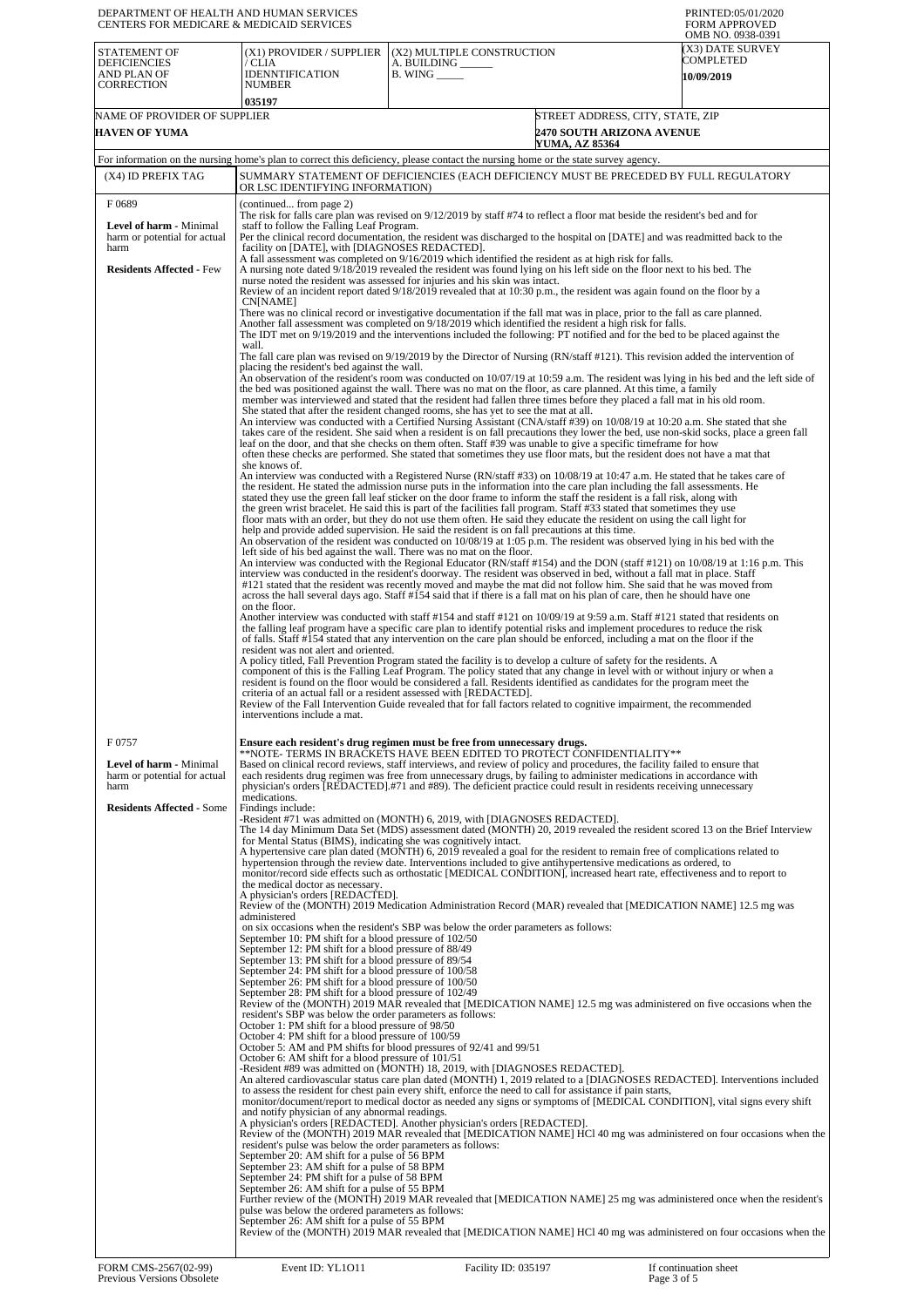| CENTERS FOR MEDICARE & MEDICAID SERVICES                                                                           | DEPARTMENT OF HEALTH AND HUMAN SERVICES                                                                                                                                                                                                                                                                                                                                                                                                                                                                                                                                                                                                                                                                                                                                                                                                                                                                                                                                                                                                                                                                                                                                                                                                                                                                                                                                                                                                                                                                                                                                                                                                                                                                                                                                                                                                                                                                                                                                                                                                                                                                                                                                                                                                                                                                                                                                                                                                                                                                                                                                                                                                                                                                                                                                                                                                                                                                                                                                                                                                                                                                                                                                                                                                                                                                                                                                                                                                                                                                                                                                                                                                                                                                                                                                                                                                                                                                                                                                                                                                                                                                                                                                                                                                                                                                    |                                                                                                                                                                                                                                                                                                                                                                                                                                                                                                                                                                                                                                                                                                                                                                                                                                                                                                                                                                                                                                                                                                                                                                                                                                                                                                                                                                                                                                                                                                                                                                                                                                                                                                                                                                                                                                                                                                                                                                                                                                                                                                                                                                                                                                                                                                                                                                                                                                                                                                                                                                                                                                                                                                                                                                                                                                                                                                                                                                                                                                                                                                                                                                                                                                                                                                                                                                                                                                                                                                                                                                                                                                                                                                                                                                                                                                                                                                                                                                                                                                                                                                     | PRINTED:05/01/2020<br><b>FORM APPROVED</b><br>OMB NO. 0938-0391 |
|--------------------------------------------------------------------------------------------------------------------|------------------------------------------------------------------------------------------------------------------------------------------------------------------------------------------------------------------------------------------------------------------------------------------------------------------------------------------------------------------------------------------------------------------------------------------------------------------------------------------------------------------------------------------------------------------------------------------------------------------------------------------------------------------------------------------------------------------------------------------------------------------------------------------------------------------------------------------------------------------------------------------------------------------------------------------------------------------------------------------------------------------------------------------------------------------------------------------------------------------------------------------------------------------------------------------------------------------------------------------------------------------------------------------------------------------------------------------------------------------------------------------------------------------------------------------------------------------------------------------------------------------------------------------------------------------------------------------------------------------------------------------------------------------------------------------------------------------------------------------------------------------------------------------------------------------------------------------------------------------------------------------------------------------------------------------------------------------------------------------------------------------------------------------------------------------------------------------------------------------------------------------------------------------------------------------------------------------------------------------------------------------------------------------------------------------------------------------------------------------------------------------------------------------------------------------------------------------------------------------------------------------------------------------------------------------------------------------------------------------------------------------------------------------------------------------------------------------------------------------------------------------------------------------------------------------------------------------------------------------------------------------------------------------------------------------------------------------------------------------------------------------------------------------------------------------------------------------------------------------------------------------------------------------------------------------------------------------------------------------------------------------------------------------------------------------------------------------------------------------------------------------------------------------------------------------------------------------------------------------------------------------------------------------------------------------------------------------------------------------------------------------------------------------------------------------------------------------------------------------------------------------------------------------------------------------------------------------------------------------------------------------------------------------------------------------------------------------------------------------------------------------------------------------------------------------------------------------------------------------------------------------------------------------------------------------------------------------------------------------------------------------------------------------------------------|-----------------------------------------------------------------------------------------------------------------------------------------------------------------------------------------------------------------------------------------------------------------------------------------------------------------------------------------------------------------------------------------------------------------------------------------------------------------------------------------------------------------------------------------------------------------------------------------------------------------------------------------------------------------------------------------------------------------------------------------------------------------------------------------------------------------------------------------------------------------------------------------------------------------------------------------------------------------------------------------------------------------------------------------------------------------------------------------------------------------------------------------------------------------------------------------------------------------------------------------------------------------------------------------------------------------------------------------------------------------------------------------------------------------------------------------------------------------------------------------------------------------------------------------------------------------------------------------------------------------------------------------------------------------------------------------------------------------------------------------------------------------------------------------------------------------------------------------------------------------------------------------------------------------------------------------------------------------------------------------------------------------------------------------------------------------------------------------------------------------------------------------------------------------------------------------------------------------------------------------------------------------------------------------------------------------------------------------------------------------------------------------------------------------------------------------------------------------------------------------------------------------------------------------------------------------------------------------------------------------------------------------------------------------------------------------------------------------------------------------------------------------------------------------------------------------------------------------------------------------------------------------------------------------------------------------------------------------------------------------------------------------------------------------------------------------------------------------------------------------------------------------------------------------------------------------------------------------------------------------------------------------------------------------------------------------------------------------------------------------------------------------------------------------------------------------------------------------------------------------------------------------------------------------------------------------------------------------------------------------------------------------------------------------------------------------------------------------------------------------------------------------------------------------------------------------------------------------------------------------------------------------------------------------------------------------------------------------------------------------------------------------------------------------------------------------------------------------------------|-----------------------------------------------------------------|
| STATEMENT OF<br><b>DEFICIENCIES</b><br>AND PLAN OF<br><b>CORRECTION</b>                                            | (X1) PROVIDER / SUPPLIER<br>/ CLIA<br><b>IDENNTIFICATION</b><br><b>NUMBER</b><br>035197                                                                                                                                                                                                                                                                                                                                                                                                                                                                                                                                                                                                                                                                                                                                                                                                                                                                                                                                                                                                                                                                                                                                                                                                                                                                                                                                                                                                                                                                                                                                                                                                                                                                                                                                                                                                                                                                                                                                                                                                                                                                                                                                                                                                                                                                                                                                                                                                                                                                                                                                                                                                                                                                                                                                                                                                                                                                                                                                                                                                                                                                                                                                                                                                                                                                                                                                                                                                                                                                                                                                                                                                                                                                                                                                                                                                                                                                                                                                                                                                                                                                                                                                                                                                                    | (X2) MULTIPLE CONSTRUCTION<br>A. BUILDING<br>$B.$ WING $\_\_\_\_\_\_\$                                                                                                                                                                                                                                                                                                                                                                                                                                                                                                                                                                                                                                                                                                                                                                                                                                                                                                                                                                                                                                                                                                                                                                                                                                                                                                                                                                                                                                                                                                                                                                                                                                                                                                                                                                                                                                                                                                                                                                                                                                                                                                                                                                                                                                                                                                                                                                                                                                                                                                                                                                                                                                                                                                                                                                                                                                                                                                                                                                                                                                                                                                                                                                                                                                                                                                                                                                                                                                                                                                                                                                                                                                                                                                                                                                                                                                                                                                                                                                                                                              | (X3) DATE SURVEY<br>COMPLETED<br>10/09/2019                     |
| NAME OF PROVIDER OF SUPPLIER<br><b>HAVEN OF YUMA</b>                                                               |                                                                                                                                                                                                                                                                                                                                                                                                                                                                                                                                                                                                                                                                                                                                                                                                                                                                                                                                                                                                                                                                                                                                                                                                                                                                                                                                                                                                                                                                                                                                                                                                                                                                                                                                                                                                                                                                                                                                                                                                                                                                                                                                                                                                                                                                                                                                                                                                                                                                                                                                                                                                                                                                                                                                                                                                                                                                                                                                                                                                                                                                                                                                                                                                                                                                                                                                                                                                                                                                                                                                                                                                                                                                                                                                                                                                                                                                                                                                                                                                                                                                                                                                                                                                                                                                                                            | <b>2470 SOUTH ARIZONA AVENUE</b><br><b>YUMA, AZ 85364</b>                                                                                                                                                                                                                                                                                                                                                                                                                                                                                                                                                                                                                                                                                                                                                                                                                                                                                                                                                                                                                                                                                                                                                                                                                                                                                                                                                                                                                                                                                                                                                                                                                                                                                                                                                                                                                                                                                                                                                                                                                                                                                                                                                                                                                                                                                                                                                                                                                                                                                                                                                                                                                                                                                                                                                                                                                                                                                                                                                                                                                                                                                                                                                                                                                                                                                                                                                                                                                                                                                                                                                                                                                                                                                                                                                                                                                                                                                                                                                                                                                                           | STREET ADDRESS, CITY, STATE, ZIP                                |
| (X4) ID PREFIX TAG                                                                                                 | OR LSC IDENTIFYING INFORMATION)                                                                                                                                                                                                                                                                                                                                                                                                                                                                                                                                                                                                                                                                                                                                                                                                                                                                                                                                                                                                                                                                                                                                                                                                                                                                                                                                                                                                                                                                                                                                                                                                                                                                                                                                                                                                                                                                                                                                                                                                                                                                                                                                                                                                                                                                                                                                                                                                                                                                                                                                                                                                                                                                                                                                                                                                                                                                                                                                                                                                                                                                                                                                                                                                                                                                                                                                                                                                                                                                                                                                                                                                                                                                                                                                                                                                                                                                                                                                                                                                                                                                                                                                                                                                                                                                            | For information on the nursing home's plan to correct this deficiency, please contact the nursing home or the state survey agency.<br>SUMMARY STATEMENT OF DEFICIENCIES (EACH DEFICIENCY MUST BE PRECEDED BY FULL REGULATORY                                                                                                                                                                                                                                                                                                                                                                                                                                                                                                                                                                                                                                                                                                                                                                                                                                                                                                                                                                                                                                                                                                                                                                                                                                                                                                                                                                                                                                                                                                                                                                                                                                                                                                                                                                                                                                                                                                                                                                                                                                                                                                                                                                                                                                                                                                                                                                                                                                                                                                                                                                                                                                                                                                                                                                                                                                                                                                                                                                                                                                                                                                                                                                                                                                                                                                                                                                                                                                                                                                                                                                                                                                                                                                                                                                                                                                                                        |                                                                 |
| F0689<br><b>Level of harm - Minimal</b><br>harm or potential for actual<br>harm<br><b>Residents Affected - Few</b> | (continued from page 2)<br>staff to follow the Falling Leaf Program.<br>facility on [DATE], with [DIAGNOSES REDACTED].<br>CN[NAME]<br>wall.<br>placing the resident's bed against the wall.<br>she knows of.<br>on the floor.                                                                                                                                                                                                                                                                                                                                                                                                                                                                                                                                                                                                                                                                                                                                                                                                                                                                                                                                                                                                                                                                                                                                                                                                                                                                                                                                                                                                                                                                                                                                                                                                                                                                                                                                                                                                                                                                                                                                                                                                                                                                                                                                                                                                                                                                                                                                                                                                                                                                                                                                                                                                                                                                                                                                                                                                                                                                                                                                                                                                                                                                                                                                                                                                                                                                                                                                                                                                                                                                                                                                                                                                                                                                                                                                                                                                                                                                                                                                                                                                                                                                              | The risk for falls care plan was revised on 9/12/2019 by staff #74 to reflect a floor mat beside the resident's bed and for<br>Per the clinical record documentation, the resident was discharged to the hospital on [DATE] and was readmitted back to the<br>A fall assessment was completed on 9/16/2019 which identified the resident as at high risk for falls.<br>A nursing note dated 9/18/2019 revealed the resident was found lying on his left side on the floor next to his bed. The<br>nurse noted the resident was assessed for injuries and his skin was intact.<br>Review of an incident report dated 9/18/2019 revealed that at 10:30 p.m., the resident was again found on the floor by a<br>There was no clinical record or investigative documentation if the fall mat was in place, prior to the fall as care planned.<br>Another fall assessment was completed on 9/18/2019 which identified the resident a high risk for falls.<br>The IDT met on 9/19/2019 and the interventions included the following: PT notified and for the bed to be placed against the<br>The fall care plan was revised on 9/19/2019 by the Director of Nursing (RN/staff #121). This revision added the intervention of<br>An observation of the resident's room was conducted on 10/07/19 at 10:59 a.m. The resident was lying in his bed and the left side of<br>the bed was positioned against the wall. There was no mat on the floor, as care planned. At this time, a family<br>member was interviewed and stated that the resident had fallen three times before they placed a fall mat in his old room.<br>She stated that after the resident changed rooms, she has yet to see the mat at all.<br>An interview was conducted with a Certified Nursing Assistant (CNA/staff #39) on 10/08/19 at 10:20 a.m. She stated that she<br>takes care of the resident. She said when a resident is on fall precautions they lower the bed, use non-skid socks, place a green fall<br>leaf on the door, and that she checks on them often. Staff #39 was unable to give a specific timeframe for how<br>often these checks are performed. She stated that sometimes they use floor mats, but the resident does not have a mat that<br>An interview was conducted with a Registered Nurse (RN/staff #33) on 10/08/19 at 10:47 a.m. He stated that he takes care of<br>the resident. He stated the admission nurse puts in the information into the care plan including the fall assessments. He<br>stated they use the green fall leaf sticker on the door frame to inform the staff the resident is a fall risk, along with<br>the green wrist bracelet. He said this is part of the facilities fall program. Staff #33 stated that sometimes they use<br>floor mats with an order, but they do not use them often. He said they educate the resident on using the call light for<br>help and provide added supervision. He said the resident is on fall precautions at this time.<br>An observation of the resident was conducted on 10/08/19 at 1:05 p.m. The resident was observed lying in his bed with the<br>left side of his bed against the wall. There was no mat on the floor.<br>An interview was conducted with the Regional Educator (RN/staff #154) and the DON (staff #121) on 10/08/19 at 1:16 p.m. This<br>interview was conducted in the resident's doorway. The resident was observed in bed, without a fall mat in place. Staff<br>#121 stated that the resident was recently moved and maybe the mat did not follow him. She said that he was moved from<br>across the hall several days ago. Staff #154 said that if there is a fall mat on his plan of care, then he should have one<br>Another interview was conducted with staff #154 and staff #121 on 10/09/19 at 9:59 a.m. Staff #121 stated that residents on<br>the falling leaf program have a specific care plan to identify potential risks and implement procedures to reduce the risk<br>of falls. Staff #154 stated that any intervention on the care plan should be enforced, including a mat on the floor if the |                                                                 |
| F0757<br>Level of harm - Minimal<br>harm or potential for actual<br>harm<br><b>Residents Affected - Some</b>       | resident was not alert and oriented.<br>A policy titled, Fall Prevention Program stated the facility is to develop a culture of safety for the residents. A<br>component of this is the Falling Leaf Program. The policy stated that any change in level with or without injury or when a<br>resident is found on the floor would be considered a fall. Residents identified as candidates for the program meet the<br>criteria of an actual fall or a resident assessed with [REDACTED].<br>Review of the Fall Intervention Guide revealed that for fall factors related to cognitive impairment, the recommended<br>interventions include a mat.<br>Ensure each resident's drug regimen must be free from unnecessary drugs.<br>**NOTE- TERMS IN BRACKETS HAVE BEEN EDITED TO PROTECT CONFIDENTIALITY**<br>Based on clinical record reviews, staff interviews, and review of policy and procedures, the facility failed to ensure that<br>each residents drug regimen was free from unnecessary drugs, by failing to administer medications in accordance with<br>physician's orders [REDACTED].#71 and #89). The deficient practice could result in residents receiving unnecessary<br>medications.<br>Findings include:<br>-Resident #71 was admitted on (MONTH) 6, 2019, with [DIAGNOSES REDACTED].<br>The 14 day Minimum Data Set (MDS) assessment dated (MONTH) 20, 2019 revealed the resident scored 13 on the Brief Interview<br>for Mental Status (BIMS), indicating she was cognitively intact.<br>A hypertensive care plan dated (MONTH) 6, 2019 revealed a goal for the resident to remain free of complications related to<br>hypertension through the review date. Interventions included to give antihypertensive medications as ordered, to<br>monitor/record side effects such as orthostatic [MEDICAL CONDITION], increased heart rate, effectiveness and to report to<br>the medical doctor as necessary.<br>A physician's orders [REDACTED].<br>Review of the (MONTH) 2019 Medication Administration Record (MAR) revealed that [MEDICATION NAME] 12.5 mg was<br>administered<br>on six occasions when the resident's SBP was below the order parameters as follows:<br>September 10: PM shift for a blood pressure of 102/50<br>September 12: PM shift for a blood pressure of 88/49<br>September 13: PM shift for a blood pressure of 89/54<br>September 24: PM shift for a blood pressure of 100/58<br>September 26: PM shift for a blood pressure of 100/50<br>September 28: PM shift for a blood pressure of 102/49<br>Review of the (MONTH) 2019 MAR revealed that [MEDICATION NAME] 12.5 mg was administered on five occasions when the<br>resident's SBP was below the order parameters as follows:<br>October 1: PM shift for a blood pressure of 98/50<br>October 4: PM shift for a blood pressure of 100/59<br>October 5: AM and PM shifts for blood pressures of 92/41 and 99/51<br>October 6: AM shift for a blood pressure of 101/51<br>-Resident #89 was admitted on (MONTH) 18, 2019, with [DIAGNOSES REDACTED].<br>An altered cardiovascular status care plan dated (MONTH) 1, 2019 related to a [DIAGNOSES REDACTED]. Interventions included<br>to assess the resident for chest pain every shift, enforce the need to call for assistance if pain starts,<br>monitor/document/report to medical doctor as needed any signs or symptoms of [MEDICAL CONDITION], vital signs every shift<br>and notify physician of any abnormal readings.<br>A physician's orders [REDACTED]. Another physician's orders [REDACTED].<br>Review of the (MONTH) 2019 MAR revealed that [MEDICATION NAME] HCl 40 mg was administered on four occasions when the<br>resident's pulse was below the order parameters as follows:<br>September 20: AM shift for a pulse of 56 BPM<br>September 23: AM shift for a pulse of 58 BPM<br>September 24: PM shift for a pulse of 58 BPM<br>September 26: AM shift for a pulse of 55 BPM<br>Further review of the (MONTH) 2019 MAR revealed that [MEDICATION NAME] 25 mg was administered once when the resident's<br>pulse was below the ordered parameters as follows:<br>September 26: AM shift for a pulse of 55 BPM<br>Review of the (MONTH) 2019 MAR revealed that [MEDICATION NAME] HCl 40 mg was administered on four occasions when the |                                                                                                                                                                                                                                                                                                                                                                                                                                                                                                                                                                                                                                                                                                                                                                                                                                                                                                                                                                                                                                                                                                                                                                                                                                                                                                                                                                                                                                                                                                                                                                                                                                                                                                                                                                                                                                                                                                                                                                                                                                                                                                                                                                                                                                                                                                                                                                                                                                                                                                                                                                                                                                                                                                                                                                                                                                                                                                                                                                                                                                                                                                                                                                                                                                                                                                                                                                                                                                                                                                                                                                                                                                                                                                                                                                                                                                                                                                                                                                                                                                                                                                     |                                                                 |
| FORM CMS-2567(02-99)                                                                                               | Event ID: YL1011                                                                                                                                                                                                                                                                                                                                                                                                                                                                                                                                                                                                                                                                                                                                                                                                                                                                                                                                                                                                                                                                                                                                                                                                                                                                                                                                                                                                                                                                                                                                                                                                                                                                                                                                                                                                                                                                                                                                                                                                                                                                                                                                                                                                                                                                                                                                                                                                                                                                                                                                                                                                                                                                                                                                                                                                                                                                                                                                                                                                                                                                                                                                                                                                                                                                                                                                                                                                                                                                                                                                                                                                                                                                                                                                                                                                                                                                                                                                                                                                                                                                                                                                                                                                                                                                                           | Facility ID: 035197                                                                                                                                                                                                                                                                                                                                                                                                                                                                                                                                                                                                                                                                                                                                                                                                                                                                                                                                                                                                                                                                                                                                                                                                                                                                                                                                                                                                                                                                                                                                                                                                                                                                                                                                                                                                                                                                                                                                                                                                                                                                                                                                                                                                                                                                                                                                                                                                                                                                                                                                                                                                                                                                                                                                                                                                                                                                                                                                                                                                                                                                                                                                                                                                                                                                                                                                                                                                                                                                                                                                                                                                                                                                                                                                                                                                                                                                                                                                                                                                                                                                                 | If continuation sheet                                           |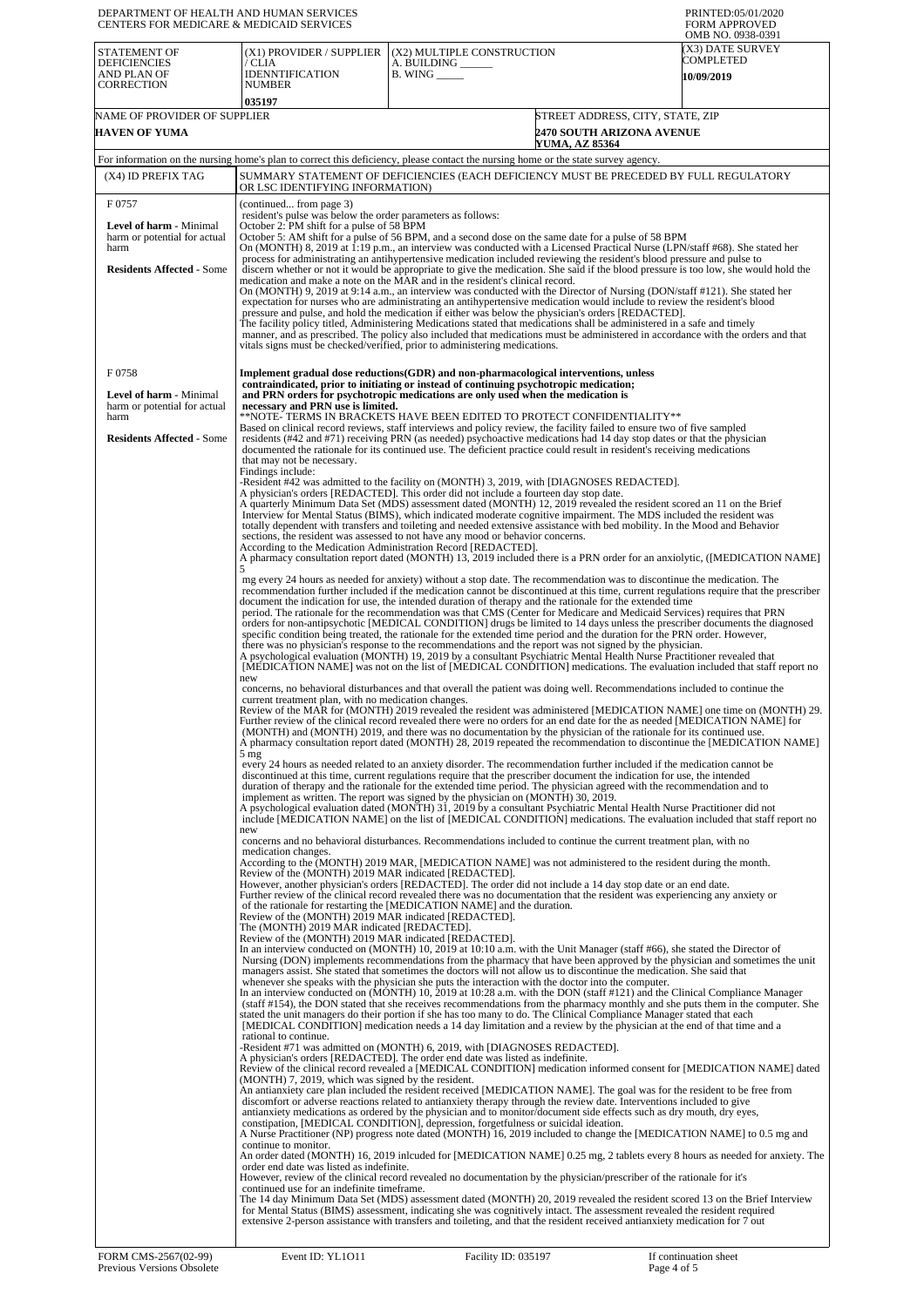| DEPARTMENT OF HEALTH AND HUMAN SERVICES<br><b>CENTERS FOR MEDICARE &amp; MEDICAID SERVICES</b>               |                                                                                                                                                                                                                                                                                                                                                                                                                                                                                                                                                                                                                                                                                                                                                                                                                                                                                                                                                                                                                                                                                                                                                                                                                                                                                                                                                                                                                                                                                                                                                                                                                                                                                                                                                                                                                                                                                                                                                                                                                                                                                                                                                                                                                                                                                                                                                                                                                                                                                                                                                                                                                                                                                                                                                                                                                                                                                                                                                                                                                                                                                                                                                                                                                                                                                                                                                                                                                                                                                                                                                                                                                                                                                                                                                                                                                                                                                                                                                                                                                                                                                                                                                                                                                                                                                                                                                                                                                                                                                                                                                                                                                                                                                                                                                                                                                                                                                                                                                                                                                                                                                                                                                                                                                                                                                                                                                                                                                                                                                                                                                                                                                                                                                                                                                                                                                                                                                                                                                                                                                                                                                                                                                                                                                                                                                                                                                                                                                                                                                                                                                                                                                                                                                                                                                                                                                                                                                                                                                                                                                                                                                                                                                                                                                                                                                                                                                                                                                                                                                                                                                                                                                                                                                                                                                                                                                                           |                                                                                                                                    | PRINTED:05/01/2020<br><b>FORM APPROVED</b><br>OMB NO. 0938-0391 |
|--------------------------------------------------------------------------------------------------------------|-------------------------------------------------------------------------------------------------------------------------------------------------------------------------------------------------------------------------------------------------------------------------------------------------------------------------------------------------------------------------------------------------------------------------------------------------------------------------------------------------------------------------------------------------------------------------------------------------------------------------------------------------------------------------------------------------------------------------------------------------------------------------------------------------------------------------------------------------------------------------------------------------------------------------------------------------------------------------------------------------------------------------------------------------------------------------------------------------------------------------------------------------------------------------------------------------------------------------------------------------------------------------------------------------------------------------------------------------------------------------------------------------------------------------------------------------------------------------------------------------------------------------------------------------------------------------------------------------------------------------------------------------------------------------------------------------------------------------------------------------------------------------------------------------------------------------------------------------------------------------------------------------------------------------------------------------------------------------------------------------------------------------------------------------------------------------------------------------------------------------------------------------------------------------------------------------------------------------------------------------------------------------------------------------------------------------------------------------------------------------------------------------------------------------------------------------------------------------------------------------------------------------------------------------------------------------------------------------------------------------------------------------------------------------------------------------------------------------------------------------------------------------------------------------------------------------------------------------------------------------------------------------------------------------------------------------------------------------------------------------------------------------------------------------------------------------------------------------------------------------------------------------------------------------------------------------------------------------------------------------------------------------------------------------------------------------------------------------------------------------------------------------------------------------------------------------------------------------------------------------------------------------------------------------------------------------------------------------------------------------------------------------------------------------------------------------------------------------------------------------------------------------------------------------------------------------------------------------------------------------------------------------------------------------------------------------------------------------------------------------------------------------------------------------------------------------------------------------------------------------------------------------------------------------------------------------------------------------------------------------------------------------------------------------------------------------------------------------------------------------------------------------------------------------------------------------------------------------------------------------------------------------------------------------------------------------------------------------------------------------------------------------------------------------------------------------------------------------------------------------------------------------------------------------------------------------------------------------------------------------------------------------------------------------------------------------------------------------------------------------------------------------------------------------------------------------------------------------------------------------------------------------------------------------------------------------------------------------------------------------------------------------------------------------------------------------------------------------------------------------------------------------------------------------------------------------------------------------------------------------------------------------------------------------------------------------------------------------------------------------------------------------------------------------------------------------------------------------------------------------------------------------------------------------------------------------------------------------------------------------------------------------------------------------------------------------------------------------------------------------------------------------------------------------------------------------------------------------------------------------------------------------------------------------------------------------------------------------------------------------------------------------------------------------------------------------------------------------------------------------------------------------------------------------------------------------------------------------------------------------------------------------------------------------------------------------------------------------------------------------------------------------------------------------------------------------------------------------------------------------------------------------------------------------------------------------------------------------------------------------------------------------------------------------------------------------------------------------------------------------------------------------------------------------------------------------------------------------------------------------------------------------------------------------------------------------------------------------------------------------------------------------------------------------------------------------------------------------------------------------------------------------------------------------------------------------------------------------------------------------------------------------------------------------------------------------------------------------------------------------------------------------------------------------------------------------------------------------------------------------------------------------------------------------------------------------------------------|------------------------------------------------------------------------------------------------------------------------------------|-----------------------------------------------------------------|
| STATEMENT OF<br><b>DEFICIENCIES</b><br>AND PLAN OF<br><b>CORRECTION</b>                                      | (X1) PROVIDER / SUPPLIER<br>/ CLIA<br><b>IDENNTIFICATION</b><br><b>NUMBER</b><br>035197                                                                                                                                                                                                                                                                                                                                                                                                                                                                                                                                                                                                                                                                                                                                                                                                                                                                                                                                                                                                                                                                                                                                                                                                                                                                                                                                                                                                                                                                                                                                                                                                                                                                                                                                                                                                                                                                                                                                                                                                                                                                                                                                                                                                                                                                                                                                                                                                                                                                                                                                                                                                                                                                                                                                                                                                                                                                                                                                                                                                                                                                                                                                                                                                                                                                                                                                                                                                                                                                                                                                                                                                                                                                                                                                                                                                                                                                                                                                                                                                                                                                                                                                                                                                                                                                                                                                                                                                                                                                                                                                                                                                                                                                                                                                                                                                                                                                                                                                                                                                                                                                                                                                                                                                                                                                                                                                                                                                                                                                                                                                                                                                                                                                                                                                                                                                                                                                                                                                                                                                                                                                                                                                                                                                                                                                                                                                                                                                                                                                                                                                                                                                                                                                                                                                                                                                                                                                                                                                                                                                                                                                                                                                                                                                                                                                                                                                                                                                                                                                                                                                                                                                                                                                                                                                                   | (X2) MULTIPLE CONSTRUCTION<br>A. BUILDING ______<br>$B.$ WING $\_\_\_\_\_\_\_\$                                                    | (X3) DATE SURVEY<br>COMPLETED<br>10/09/2019                     |
| NAME OF PROVIDER OF SUPPLIER<br><b>HAVEN OF YUMA</b>                                                         |                                                                                                                                                                                                                                                                                                                                                                                                                                                                                                                                                                                                                                                                                                                                                                                                                                                                                                                                                                                                                                                                                                                                                                                                                                                                                                                                                                                                                                                                                                                                                                                                                                                                                                                                                                                                                                                                                                                                                                                                                                                                                                                                                                                                                                                                                                                                                                                                                                                                                                                                                                                                                                                                                                                                                                                                                                                                                                                                                                                                                                                                                                                                                                                                                                                                                                                                                                                                                                                                                                                                                                                                                                                                                                                                                                                                                                                                                                                                                                                                                                                                                                                                                                                                                                                                                                                                                                                                                                                                                                                                                                                                                                                                                                                                                                                                                                                                                                                                                                                                                                                                                                                                                                                                                                                                                                                                                                                                                                                                                                                                                                                                                                                                                                                                                                                                                                                                                                                                                                                                                                                                                                                                                                                                                                                                                                                                                                                                                                                                                                                                                                                                                                                                                                                                                                                                                                                                                                                                                                                                                                                                                                                                                                                                                                                                                                                                                                                                                                                                                                                                                                                                                                                                                                                                                                                                                                           | <b>2470 SOUTH ARIZONA AVENUE</b><br>YUMA, AZ 85364                                                                                 | STREET ADDRESS, CITY, STATE, ZIP                                |
|                                                                                                              |                                                                                                                                                                                                                                                                                                                                                                                                                                                                                                                                                                                                                                                                                                                                                                                                                                                                                                                                                                                                                                                                                                                                                                                                                                                                                                                                                                                                                                                                                                                                                                                                                                                                                                                                                                                                                                                                                                                                                                                                                                                                                                                                                                                                                                                                                                                                                                                                                                                                                                                                                                                                                                                                                                                                                                                                                                                                                                                                                                                                                                                                                                                                                                                                                                                                                                                                                                                                                                                                                                                                                                                                                                                                                                                                                                                                                                                                                                                                                                                                                                                                                                                                                                                                                                                                                                                                                                                                                                                                                                                                                                                                                                                                                                                                                                                                                                                                                                                                                                                                                                                                                                                                                                                                                                                                                                                                                                                                                                                                                                                                                                                                                                                                                                                                                                                                                                                                                                                                                                                                                                                                                                                                                                                                                                                                                                                                                                                                                                                                                                                                                                                                                                                                                                                                                                                                                                                                                                                                                                                                                                                                                                                                                                                                                                                                                                                                                                                                                                                                                                                                                                                                                                                                                                                                                                                                                                           | For information on the nursing home's plan to correct this deficiency, please contact the nursing home or the state survey agency. |                                                                 |
| (X4) ID PREFIX TAG                                                                                           | OR LSC IDENTIFYING INFORMATION)                                                                                                                                                                                                                                                                                                                                                                                                                                                                                                                                                                                                                                                                                                                                                                                                                                                                                                                                                                                                                                                                                                                                                                                                                                                                                                                                                                                                                                                                                                                                                                                                                                                                                                                                                                                                                                                                                                                                                                                                                                                                                                                                                                                                                                                                                                                                                                                                                                                                                                                                                                                                                                                                                                                                                                                                                                                                                                                                                                                                                                                                                                                                                                                                                                                                                                                                                                                                                                                                                                                                                                                                                                                                                                                                                                                                                                                                                                                                                                                                                                                                                                                                                                                                                                                                                                                                                                                                                                                                                                                                                                                                                                                                                                                                                                                                                                                                                                                                                                                                                                                                                                                                                                                                                                                                                                                                                                                                                                                                                                                                                                                                                                                                                                                                                                                                                                                                                                                                                                                                                                                                                                                                                                                                                                                                                                                                                                                                                                                                                                                                                                                                                                                                                                                                                                                                                                                                                                                                                                                                                                                                                                                                                                                                                                                                                                                                                                                                                                                                                                                                                                                                                                                                                                                                                                                                           | SUMMARY STATEMENT OF DEFICIENCIES (EACH DEFICIENCY MUST BE PRECEDED BY FULL REGULATORY                                             |                                                                 |
| F0757<br>Level of harm - Minimal<br>harm or potential for actual<br>harm<br><b>Residents Affected - Some</b> | (continued from page 3)<br>resident's pulse was below the order parameters as follows:<br>October 2: PM shift for a pulse of 58 BPM<br>October 5: AM shift for a pulse of 56 BPM, and a second dose on the same date for a pulse of 58 BPM<br>On (MONTH) 8, 2019 at 1:19 p.m., an interview was conducted with a Licensed Practical Nurse (LPN/staff #68). She stated her<br>process for administrating an antihypertensive medication included reviewing the resident's blood pressure and pulse to<br>discern whether or not it would be appropriate to give the medication. She said if the blood pressure is too low, she would hold the<br>medication and make a note on the MAR and in the resident's clinical record.<br>On (MONTH) 9, 2019 at 9:14 a.m., an interview was conducted with the Director of Nursing (DON/staff #121). She stated her<br>expectation for nurses who are administrating an antihypertensive medication would include to review the resident's blood<br>pressure and pulse, and hold the medication if either was below the physician's orders [REDACTED].<br>The facility policy titled, Administering Medications stated that medications shall be administered in a safe and timely<br>manner, and as prescribed. The policy also included that medications must be administered in accordance with the orders and that<br>vitals signs must be checked/verified, prior to administering medications.                                                                                                                                                                                                                                                                                                                                                                                                                                                                                                                                                                                                                                                                                                                                                                                                                                                                                                                                                                                                                                                                                                                                                                                                                                                                                                                                                                                                                                                                                                                                                                                                                                                                                                                                                                                                                                                                                                                                                                                                                                                                                                                                                                                                                                                                                                                                                                                                                                                                                                                                                                                                                                                                                                                                                                                                                                                                                                                                                                                                                                                                                                                                                                                                                                                                                                                                                                                                                                                                                                                                                                                                                                                                                                                                                                                                                                                                                                                                                                                                                                                                                                                                                                                                                                                                                                                                                                                                                                                                                                                                                                                                                                                                                                                                                                                                                                                                                                                                                                                                                                                                                                                                                                                                                                                                                                                                                                                                                                                                                                                                                                                                                                                                                                                                                                                                                                                                                                                                                                                                                                                                                                                                                                                                                                                                                                                                                                                                |                                                                                                                                    |                                                                 |
| F0758<br>Level of harm - Minimal<br>harm or potential for actual<br>harm<br><b>Residents Affected - Some</b> | Implement gradual dose reductions(GDR) and non-pharmacological interventions, unless<br>contraindicated, prior to initiating or instead of continuing psychotropic medication;<br>and PRN orders for psychotropic medications are only used when the medication is<br>necessary and PRN use is limited.<br>**NOTE-TERMS IN BRACKETS HAVE BEEN EDITED TO PROTECT CONFIDENTIALITY**<br>Based on clinical record reviews, staff interviews and policy review, the facility failed to ensure two of five sampled<br>residents (#42 and #71) receiving PRN (as needed) psychoactive medications had 14 day stop dates or that the physician<br>documented the rationale for its continued use. The deficient practice could result in resident's receiving medications<br>that may not be necessary.<br>Findings include:<br>-Resident #42 was admitted to the facility on (MONTH) 3, 2019, with [DIAGNOSES REDACTED].<br>A physician's orders [REDACTED]. This order did not include a fourteen day stop date.<br>A quarterly Minimum Data Set (MDS) assessment dated (MONTH) 12, 2019 revealed the resident scored an 11 on the Brief<br>Interview for Mental Status (BIMS), which indicated moderate cognitive impairment. The MDS included the resident was<br>totally dependent with transfers and toileting and needed extensive assistance with bed mobility. In the Mood and Behavior<br>sections, the resident was assessed to not have any mood or behavior concerns.<br>According to the Medication Administration Record [REDACTED].<br>A pharmacy consultation report dated (MONTH) 13, 2019 included there is a PRN order for an anxiolytic, ([MEDICATION NAME]<br>5<br>mg every 24 hours as needed for anxiety) without a stop date. The recommendation was to discontinue the medication. The<br>recommendation further included if the medication cannot be discontinued at this time, current regulations require that the prescriber<br>document the indication for use, the intended duration of therapy and the rationale for the extended time<br>period. The rationale for the recommendation was that CMS (Center for Medicare and Medicaid Services) requires that PRN<br>orders for non-antipsychotic [MEDICAL CONDITION] drugs be limited to 14 days unless the prescriber documents the diagnosed<br>specific condition being treated, the rationale for the extended time period and the duration for the PRN order. However,<br>there was no physician's response to the recommendations and the report was not signed by the physician.<br>A psychological evaluation (MONTH) 19, 2019 by a consultant Psychiatric Mental Health Nurse Practitioner revealed that<br>[MEDICATION NAME] was not on the list of [MEDICAL CONDITION] medications. The evaluation included that staff report no<br>new<br>concerns, no behavioral disturbances and that overall the patient was doing well. Recommendations included to continue the<br>current treatment plan, with no medication changes.<br>Review of the MAR for (MONTH) 2019 revealed the resident was administered [MEDICATION NAME] one time on (MONTH) 29.<br>Further review of the clinical record revealed there were no orders for an end date for the as needed [MEDICATION NAME] for<br>(MONTH) and (MONTH) 2019, and there was no documentation by the physician of the rationale for its continued use.<br>A pharmacy consultation report dated (MONTH) 28, 2019 repeated the recommendation to discontinue the [MEDICATION NAME]<br>5 <sub>mg</sub><br>every 24 hours as needed related to an anxiety disorder. The recommendation further included if the medication cannot be<br>discontinued at this time, current regulations require that the prescriber document the indication for use, the intended<br>duration of therapy and the rationale for the extended time period. The physician agreed with the recommendation and to<br>implement as written. The report was signed by the physician on (MONTH) 30, 2019.<br>A psychological evaluation dated (MONTH) 31, 2019 by a consultant Psychiatric Mental Health Nurse Practitioner did not<br>include [MEDICATION NAME] on the list of [MEDICAL CONDITION] medications. The evaluation included that staff report no<br>new<br>concerns and no behavioral disturbances. Recommendations included to continue the current treatment plan, with no<br>medication changes.<br>According to the (MONTH) 2019 MAR, [MEDICATION NAME] was not administered to the resident during the month.<br>Review of the (MONTH) 2019 MAR indicated [REDACTED].<br>However, another physician's orders [REDACTED]. The order did not include a 14 day stop date or an end date.<br>Further review of the clinical record revealed there was no documentation that the resident was experiencing any anxiety or<br>of the rationale for restarting the [MEDICATION NAME] and the duration.<br>Review of the (MONTH) 2019 MAR indicated [REDACTED].<br>The (MONTH) 2019 MAR indicated [REDACTED].<br>Review of the (MONTH) 2019 MAR indicated [REDACTED].<br>In an interview conducted on (MONTH) 10, 2019 at 10:10 a.m. with the Unit Manager (staff #66), she stated the Director of<br>Nursing (DON) implements recommendations from the pharmacy that have been approved by the physician and sometimes the unit<br>managers assist. She stated that sometimes the doctors will not allow us to discontinue the medication. She said that<br>whenever she speaks with the physician she puts the interaction with the doctor into the computer.<br>In an interview conducted on (MONTH) 10, 2019 at 10:28 a.m. with the DON (staff #121) and the Clinical Compliance Manager<br>(staff #154), the DON stated that she receives recommendations from the pharmacy monthly and she puts them in the computer. She<br>stated the unit managers do their portion if she has too many to do. The Clinical Compliance Manager stated that each<br>[MEDICAL CONDITION] medication needs a 14 day limitation and a review by the physician at the end of that time and a<br>rational to continue.<br>-Resident #71 was admitted on (MONTH) 6, 2019, with [DIAGNOSES REDACTED].<br>A physician's orders [REDACTED]. The order end date was listed as indefinite.<br>Review of the clinical record revealed a [MEDICAL CONDITION] medication informed consent for [MEDICATION NAME] dated<br>(MONTH) 7, 2019, which was signed by the resident.<br>An antianxiety care plan included the resident received [MEDICATION NAME]. The goal was for the resident to be free from<br>discomfort or adverse reactions related to antianxiety therapy through the review date. Interventions included to give<br>antianxiety medications as ordered by the physician and to monitor/document side effects such as dry mouth, dry eyes,<br>constipation, [MEDICAL CONDITION], depression, forgetfulness or suicidal ideation.<br>A Nurse Practitioner (NP) progress note dated (MONTH) 16, 2019 included to change the [MEDICATION NAME] to 0.5 mg and<br>continue to monitor.<br>An order dated (MONTH) 16, 2019 inlcuded for [MEDICATION NAME] 0.25 mg, 2 tablets every 8 hours as needed for anxiety. The<br>order end date was listed as indefinite.<br>However, review of the clinical record revealed no documentation by the physician/prescriber of the rationale for it's<br>continued use for an indefinite timeframe.<br>The 14 day Minimum Data Set (MDS) assessment dated (MONTH) 20, 2019 revealed the resident scored 13 on the Brief Interview<br>for Mental Status (BIMS) assessment, indicating she was cognitively intact. The assessment revealed the resident required<br>extensive 2-person assistance with transfers and toileting, and that the resident received antianxiety medication for 7 out |                                                                                                                                    |                                                                 |
|                                                                                                              |                                                                                                                                                                                                                                                                                                                                                                                                                                                                                                                                                                                                                                                                                                                                                                                                                                                                                                                                                                                                                                                                                                                                                                                                                                                                                                                                                                                                                                                                                                                                                                                                                                                                                                                                                                                                                                                                                                                                                                                                                                                                                                                                                                                                                                                                                                                                                                                                                                                                                                                                                                                                                                                                                                                                                                                                                                                                                                                                                                                                                                                                                                                                                                                                                                                                                                                                                                                                                                                                                                                                                                                                                                                                                                                                                                                                                                                                                                                                                                                                                                                                                                                                                                                                                                                                                                                                                                                                                                                                                                                                                                                                                                                                                                                                                                                                                                                                                                                                                                                                                                                                                                                                                                                                                                                                                                                                                                                                                                                                                                                                                                                                                                                                                                                                                                                                                                                                                                                                                                                                                                                                                                                                                                                                                                                                                                                                                                                                                                                                                                                                                                                                                                                                                                                                                                                                                                                                                                                                                                                                                                                                                                                                                                                                                                                                                                                                                                                                                                                                                                                                                                                                                                                                                                                                                                                                                                           |                                                                                                                                    |                                                                 |